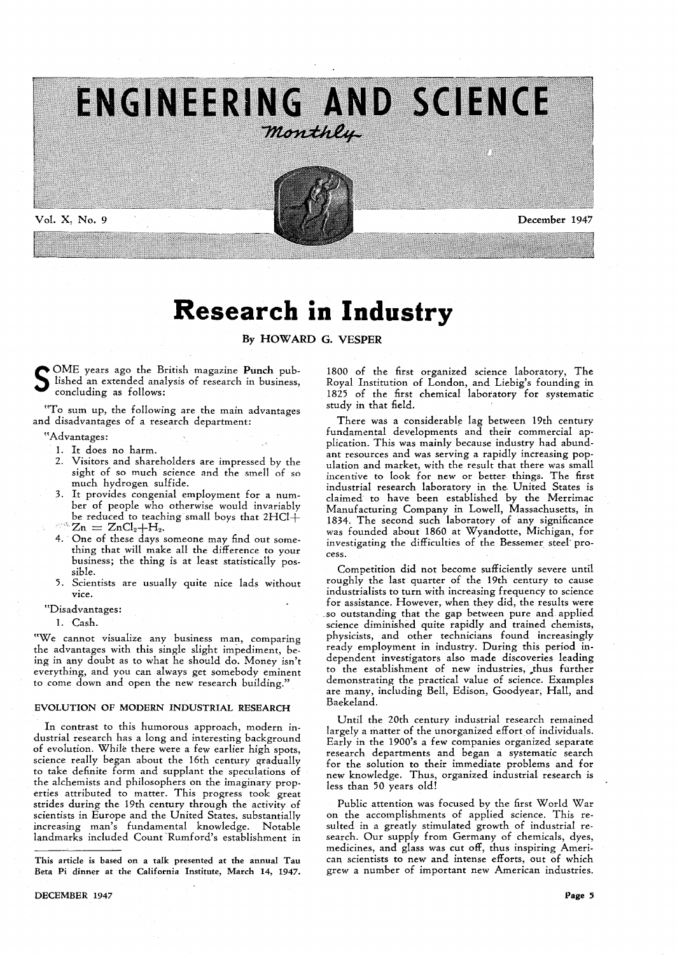

# **Research in Industry**

By HOWARD G. VESPER

SOME years ago the British magazine Punch pub-<br>S lished an extended analysis of research in business,<br>concluding as follows: lished an extended analysis of research in business, concluding as follows:

"To sum up, the following are the main advantages and disadvantages of a research department:

"Advantages:

- 1. It does no harm.
- 2. Visitors and shareholders are impressed by the sight of so much science and the smell of so much hydrogen sulfide.
- It provides congenial employment for a number of people who otherwise would invariably be reduced to teaching small boys that 2HCl+<br> $Zn = ZnCl<sub>2</sub>+H<sub>2</sub>$ .
- 4. One of these days someone may find out something that will make all the difference to your business; the thing is at least statistically possible.
- 5. Scientists are usually quite nice lads without vice.

"Disadvantages:

1. Cash.

"We cannot visualize any business man, comparing the advantages with this single slight impediment, being in any doubt as to what he should do. Money isn't everything, and you can always get somebody eminent to come down and open the new research building."

#### EVOLUTION OF MODERN INDUSTRIAL RESEARCH

In contrast to this humorous approach, modern industrial research has a long and interesting background of evolution. While there were a few earlier high spots, science really began about the 16th century gradually to take definite form and supplant the speculations of the alchemists and philosophers on the imaginary properties attributed to matter. This progress took great strides during the 19th century through the activity of scientists in Europe and the United States, substantially increasing man's fundamental knowledge. Notable landmarks included Count Rumford's establishment in

This article is based on a talk presented at the annual Tau Beta Pi dinner at the California Institute, March 14, 1947.

1800 of the first organized science laboratory, The Royal Institution of London, and Liebig's founding in 1825 of the first chemical laboratory for systematic study in that field.

There was a considerable lag between 19th century fundamental developments and their commercial application. This was mainly because industry had abundant resources and was serving a rapidly increasing population and market, with the result that there was small incentive to look for new or better, things. The first industrial research laboratory in the. United States is claimed to have been established by the Merrimac Manufacturing Company in Lowell, Massachusetts, in 1834. The second such laboratory of any significance was founded about 1860 at Wyandotte, Michigan, for investigating the difficulties of the Bessemer steel' process.

Competition did not become sufficiently severe until roughly the last quarter of the 19th century to cause industrialists to turn with increasing frequency to science for assistance. However, when they did, the results were so outstanding that the gap between pure and applied science diminished quite rapidly and trained chemists, physicists, and other technicians found increasingly ready employment in industry. During this period independent investigators also made discoveries leading to the establishment of new industries, thus further demonstrating the practical value of science. Examples are many, including Bell, Edison, Goodyear, Hall, and Baekeland.

Until the 20th century industrial research remained largely a matter of the unorganized effort of individuals. Early in the 1900's a few companies organized separate research departments and began a systematic search for the solution to their immediate problems and for new knowledge. Thus, organized industrial research is less than 50 years old!

Public attention was focused by the first World War on the accomplishments of applied science. This resulted in a greatly stimulated growth of industrial research. Our supply from Germany of chemicals, dyes, medicines, and glass was cut off, thus inspiring American scientists to new and intense efforts, out of which grew a number of important new American industries.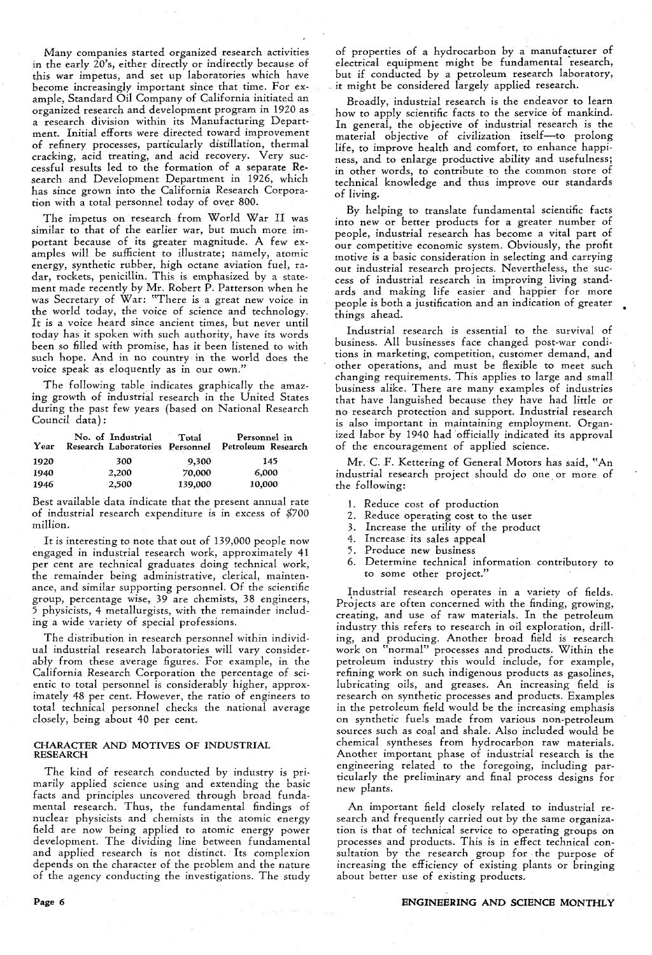Many companies started organized research activities in the early 20's, either directly or indirectly because of this war impetus, and set up laboratories which have become increasingly important since that time. For example, Standard Oil Company of California initiated an organized research and development program in 1920 as a research division within its Manufacturing Department. Initial efforts were directed toward improvement of refinery processes, particularly distillation, thermal cracking, acid treating, and acid recovery. Very successful results led to the formation of a separate Research and Development Department in 1926, which has since grown into the California Research Corporation with a total personnel today of over 800.

The impetus on research from World War II was similar to that of the earlier war, but much more important because of its greater magnitude. A few examples will be sufficient to illustrate; namely, atomic energy, synthetic rubber, high octane aviation fuel, radar, rockets, penicillin. This is emphasized by a statement made recently by Mr. Robert P. Patterson when he was Secretary of War: "There is a great new voice in the world today, the voice of science and technology. It is a voice heard since ancient times, but never until today has it spoken with such authority, have its words been so filled with promise, has it been listened to with such hope. And in no country in the world does the voice speak as eloquently as in our own."

The following table indicates graphically the amazing growth of industrial research in the United States during the past few years (based on National Research Council data):

| Year | No. of Industrial<br>Research Laboratories Personnel | Total   | Personnel in<br>Petroleum Research |
|------|------------------------------------------------------|---------|------------------------------------|
| 1920 | 300                                                  | 9.300   | 145                                |
| 1940 | 2,200                                                | 70,000  | 6,000                              |
| 1946 | 2,500                                                | 139.000 | 10,000                             |

Best available data indicate that the present annual rate of industrial research expenditure is in excess of \$700 million.

It is interesting to note that out of 139,000 people now engaged in industrial research work, approximately 41 per cent are technical graduates doing technical work, the remainder being administrative, clerical, maintenance, and similar supporting personnel. Of the scientific group, percentage wise, 39 are chemists, 38 engineers, 5 physicists, 4 metallurgists, with the remainder including a wide variety of special professions.

The distribution in research personnel within individual industrial research laboratories will vary considerably from these average figures. For example, in the California Research Corporation the percentage of scientic to total personnel is considerably higher, approximately 48 per cent. However, the ratio of engineers to total technical personnel checks the national average closely, being about 40 per cent.

#### CHARACTER AND MOTIVES OF INDUSTRIAL RESEARCH

The kind of research conducted by industry is primarily applied science using and extending the basic facts and principles uncovered through broad fundamental research. Thus, the fundamental findings of nuclear physicists and chemists in the atomic energy field are now being applied to atomic energy power development. The dividing line between fundamental and applied research is not distinct. Its complexion depends on the character of the problem and the nature of the agency conducting the investigations. The study

of properties of a hydrocarbon by a manufacturer of electrical equipment might be fundamental research, but if conducted by a petroleum research laboratory, it might be considered largely applied research.

Broadly, industrial research is the endeavor to learn how to apply scientific facts to the service of mankind. In general, the objective of industrial research is the material objective of civilization itself-to prolong life, to improve health and comfort, to enhance happiness, and to enlarge productive ability and usefulness; in other words, to contribute to the common store of technical knowledge and thus improve our standards of living.

By helping to translate fundamental scientific facts into new or better products for a greater number of people, industrial research has become a vital part of our competitive economic system. Obviously, the profit motive is a basic consideration in selecting and carrying out industrial research projects. Nevertheless, the success of industrial research in improving living standards and making life easier and happier for more people is both a justification and an indication of greater things ahead.

Industrial research is essential to the survival of business. All businesses face changed post-war conditions in marketing, competition, customer demand, and other operations, and must be flexible to meet such changing requirements. This applies to large and small business alike. There are many examples of industries that have languished because they have had little or no research protection and support. Industrial research is also important in maintaining employment. Organized labor by 1940 had 'officially indicated its approval of the encouragement of applied science.

Mr. C. F. Kettering of General Motors has said, "An industrial research project should do one or more of the following:

- 1. Reduce cost of production
- 
- 2. Reduce operating cost to the user<br>3. Increase the utility of the produ-Increase the utility of the product
- 4. Increase its sales appeal
- 5. Produce new business
- 6. Determine technical information contributory to to some other project.'

Industrial research operates in a variety of fields. Projects are often concerned with the finding, growing, creating, and use of raw materials. In the petroleum industry this refers to research in oil exploration, drilling, and producing. Another broad field is research work on "normal" processes and products. Within the petroleum industry this would include, for example, refining work on such indigenous products as gasolines, lubricating oils, and greases. An increasing field is research on synthetic processes and products. Examples in the petroleum field would be the increasing emphasis on synthetic fuels made from various non-petroleum sources such as coal and shale. Also included would be chemical syntheses from hydrocarbon raw materials. Another important phase of industrial research is the engineering related to the foregoing, including particularly the preliminary and final process designs for new plants.

An important field closely related to industrial research and frequently carried out by the same organization is that of technical service to operating groups on processes and products. This is in effect technical consultation by the research group for the purpose of increasing the efficiency of existing plants or bringing about better use of existing products.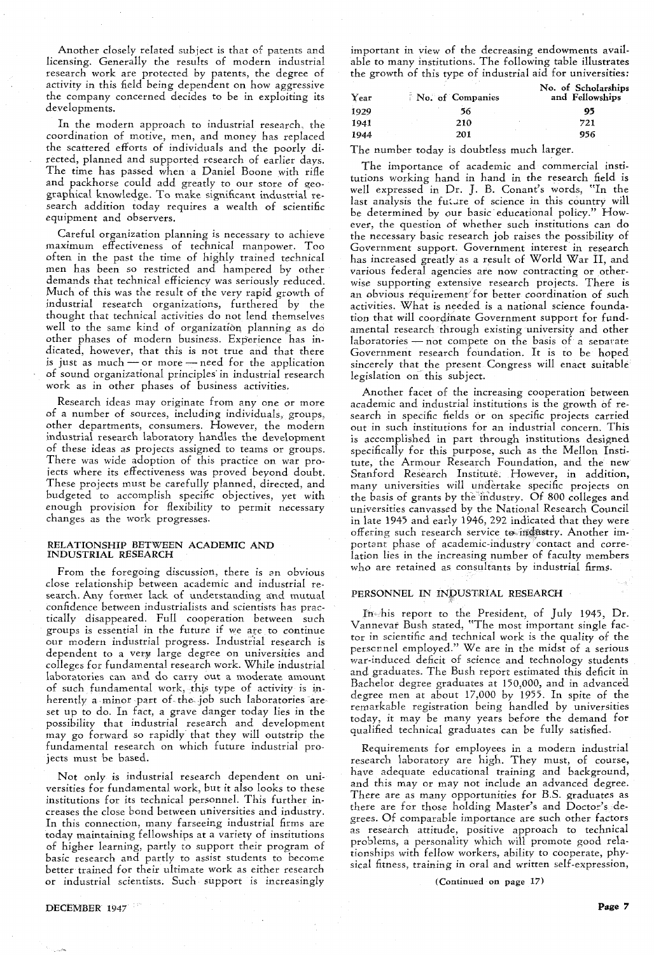Another closely related subject is that of patents and licensing. Generally the results of modern industrial research work are protected by patents, the degree of activity in this field being dependent on how aggressive the company concerned decides to be in exploiting its developments.

In the modern approach to industrial research. the coordination of motive, men, and money has replaced the scattered efforts of individuals and the poorly directed, planned and supported research of earlier days. The time has passed when a Daniel Boone with rifle and packhorse could add greatly to our store of geographical knowledge. To make significant industrial research addition today requires a wealth of scientific equipment and observers.

Careful organization planning is necessary to achieve maximum effectiveness of technical manpower. Too often in the past the time of highly trained technical men has been so restricted and hampered by other demands that technical efficiency was seriously reduced. Much of this was the result of the very rapid growth of industrial research organizations, furthered by the thought that technical activities do not lend themselves well to the same kind of organization planning as do other phases of modern business. Experience has indicated, however, that this is not true and that there is just as much  $-$  or more  $-$  need for the application of sound organizational principles'in industrial research work as in other phases of business activities.

Research ideas may originate from anyone or more of a number of sources, including individuals, groups, other departments, consumers. However, the modern industrial research laboratory handles the development of these ideas as projects assigned to teams or groups. There was wide adoption of this practice on war projects where its effectiveness was proved beyond doubt. These projects must be carefully planned, directed, and budgeted to accomplish specific objectives, yet with enough provision for flexibility to permit necessary changes as the work progresses.

#### RELA TIONSHIP BETWEEN ACADEMIC AND INDUSTRIAL RESEARCH

From the foregoing discussion, there is an obvious close relationship between academic and industrial research. Any former lack of understanding and mutual confidence between industrialists and scientists has practically disappeared. Full cooperation between such groups is essential in the future if we are to continue our modern industrial progress. Industrial research is dependent to a very large degree on universities and colleges for fundamental research work. While industrial laboratories can and do carry out a moderate amount of such fundamental work, this type of activity is inherently a minor part of the job such laboratories are set up to do. In fact, a grave danger today lies in the possibility that industrial research and development may go forward so rapidly that they will outstrip the fundamental research on which future industrial projects must be based.

Not only is industrial research dependent on universities for fundamental work, but it also looks to these institutions for its technical personnel. This further increases the close bond between universities and industry. In this connection, many farseeing industrial firms are today maintaining fellowships at a variety of institutions of higher learning, partly to support their program of basic research and partly to assist students to become better trained for their ultimate work as either research or industrial scientists. Such support is increasingly

important in view of the decreasing endowments available to many institutions. The following table illustrates the growth of this type of industrial aid for universities:

| No. of Companies | No. of Scholarships<br>and Fellowships |
|------------------|----------------------------------------|
| 56               | 95                                     |
| 210              | 721                                    |
| 201              | 956                                    |
|                  |                                        |

The number today is doubtless much larger.

The importance of academic and commercial institutions working hand in hand in the research field is well expressed in Dr. J. B. Conant's words, "In the last analysis the fu $\omega$ re of science in this country will be determined by our basic educational policy." However, the question of whether such institutions can do the necessary basic research job raises the possibility of Government support. Government interest in research has increased greatly as a result of World War II, and various federal agencies are now contracting or other*wise* supporting extensiye research projects. There is an obvious requirement for better coordination of such activities. What is needed is a national science foundation that will coordinate Government support for fundamental research through existing university and other laboratories  $-$  not compete on the basis of a separate Government research foundation. It is to be hoped sincerely that the present Congress will enact suitable legislation on this subject.

Another facet of the increasing cooperation between academic and industrial institutions is the growth of research in specific fields or on specific projects carried out in such institutions for an industrial concern. This is accomplished in part through institutions designed specifically for this purpose, such as the Mellon Institute, the Armour Research Foundation, and the new Stanford Research Institute; However, in addition, many universities will undertake specific projects on the basis of grants by the 'industry. Of 800 colleges and universities canvassed by the National Research Council in late 1945 and early 1946, 292 indicated that they were offering such research service to industry. Another important phase of academic-industry contact and correlation lies in the increasing number of faculty members who are retained as consultants by industrial firms.

#### PERSONNEL IN INDUSTRIAL RESEARCH

Inc his report to the President, of July 1945, Dr. Vannevar Bush stated, "The most important single factor in scientific and technical work is the quality of the persornel employed." We are in the midst of a serious war-induced deficit of science and technology students and graduates. The Bush report estimated this deficit in Bachelor degree graduates at 150,000, and in advanced degree men at about 17,000 by 1955. In spite of the remarkable registration being handled by universities today, it may be many years before the demand for qualified technical graduates can be fully satisfied,

Requirements for employees in a modern industrial research laboratory are high. They must, of course, have adequate educational training and background, and this may or may not include an advanced degree. There are as many opportunities for B.S. graduates as there are for those holding Master's and Doctor's degrees. Of comparable importance are such other factors as research attitude, positive approach to technical problems, a personality which will promote good relationships with fellow workers, ability to cooperate, physical fitness, training in oral and written self-expression,

(Continued on page 17)